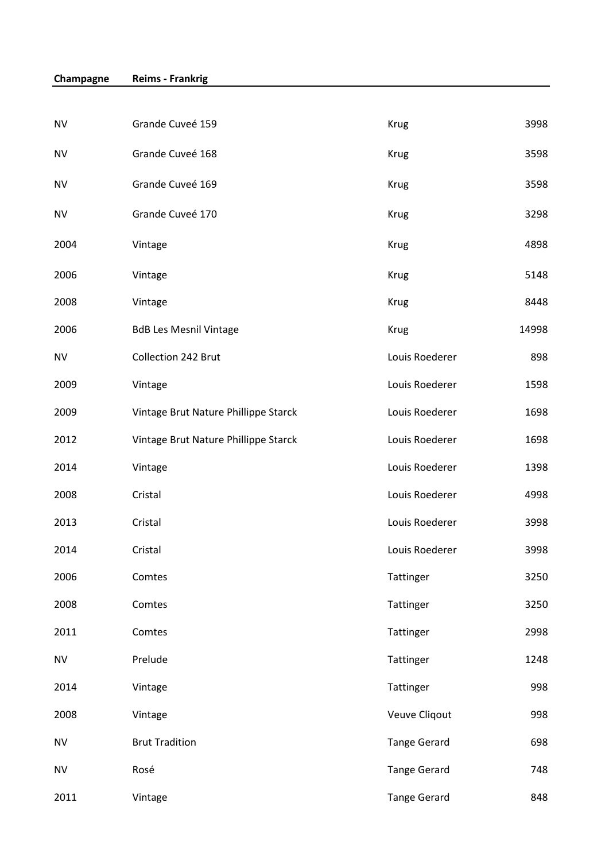| <b>NV</b> | Grande Cuveé 159                     | <b>Krug</b>         | 3998  |
|-----------|--------------------------------------|---------------------|-------|
| <b>NV</b> | Grande Cuveé 168                     | <b>Krug</b>         | 3598  |
| <b>NV</b> | Grande Cuveé 169                     | <b>Krug</b>         | 3598  |
| <b>NV</b> | Grande Cuveé 170                     | <b>Krug</b>         | 3298  |
| 2004      | Vintage                              | <b>Krug</b>         | 4898  |
| 2006      | Vintage                              | <b>Krug</b>         | 5148  |
| 2008      | Vintage                              | <b>Krug</b>         | 8448  |
| 2006      | <b>BdB Les Mesnil Vintage</b>        | <b>Krug</b>         | 14998 |
| <b>NV</b> | Collection 242 Brut                  | Louis Roederer      | 898   |
| 2009      | Vintage                              | Louis Roederer      | 1598  |
| 2009      | Vintage Brut Nature Phillippe Starck | Louis Roederer      | 1698  |
| 2012      | Vintage Brut Nature Phillippe Starck | Louis Roederer      | 1698  |
| 2014      | Vintage                              | Louis Roederer      | 1398  |
| 2008      | Cristal                              | Louis Roederer      | 4998  |
| 2013      | Cristal                              | Louis Roederer      | 3998  |
| 2014      | Cristal                              | Louis Roederer      | 3998  |
| 2006      | Comtes                               | Tattinger           | 3250  |
| 2008      | Comtes                               | Tattinger           | 3250  |
| 2011      | Comtes                               | Tattinger           | 2998  |
| <b>NV</b> | Prelude                              | Tattinger           | 1248  |
| 2014      | Vintage                              | Tattinger           | 998   |
| 2008      | Vintage                              | Veuve Cliqout       | 998   |
| <b>NV</b> | <b>Brut Tradition</b>                | <b>Tange Gerard</b> | 698   |
| <b>NV</b> | Rosé                                 | <b>Tange Gerard</b> | 748   |
| 2011      | Vintage                              | <b>Tange Gerard</b> | 848   |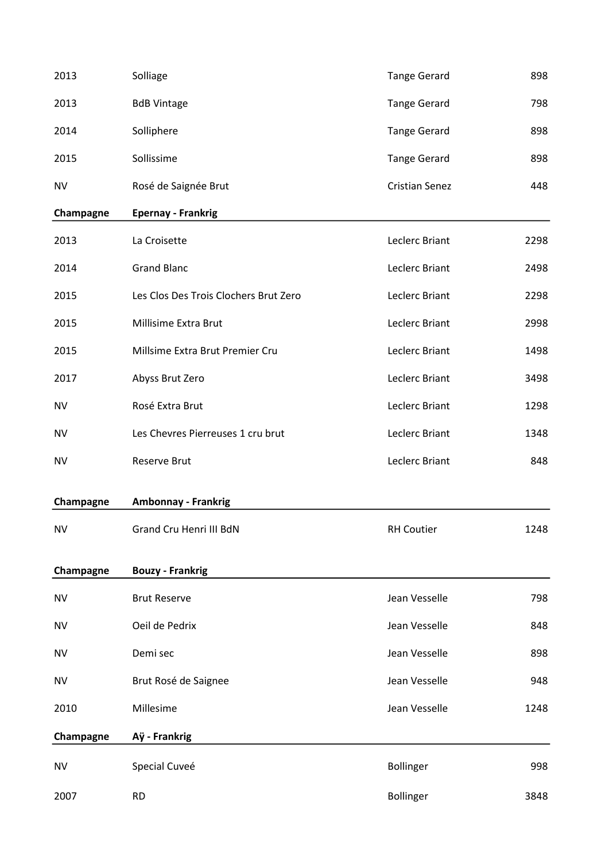| 2013      | Solliage                              | <b>Tange Gerard</b>   | 898  |
|-----------|---------------------------------------|-----------------------|------|
| 2013      | <b>BdB Vintage</b>                    | <b>Tange Gerard</b>   | 798  |
| 2014      | Solliphere                            | <b>Tange Gerard</b>   | 898  |
| 2015      | Sollissime                            | <b>Tange Gerard</b>   | 898  |
| <b>NV</b> | Rosé de Saignée Brut                  | <b>Cristian Senez</b> | 448  |
| Champagne | <b>Epernay - Frankrig</b>             |                       |      |
| 2013      | La Croisette                          | Leclerc Briant        | 2298 |
| 2014      | <b>Grand Blanc</b>                    | Leclerc Briant        | 2498 |
| 2015      | Les Clos Des Trois Clochers Brut Zero | Leclerc Briant        | 2298 |
| 2015      | Millisime Extra Brut                  | Leclerc Briant        | 2998 |
| 2015      | Millsime Extra Brut Premier Cru       | Leclerc Briant        | 1498 |
| 2017      | Abyss Brut Zero                       | Leclerc Briant        | 3498 |
| NV        | Rosé Extra Brut                       | Leclerc Briant        | 1298 |
| <b>NV</b> | Les Chevres Pierreuses 1 cru brut     | Leclerc Briant        | 1348 |
| <b>NV</b> | <b>Reserve Brut</b>                   | Leclerc Briant        | 848  |
| Champagne | <b>Ambonnay - Frankrig</b>            |                       |      |
| <b>NV</b> | Grand Cru Henri III BdN               | <b>RH Coutier</b>     | 1248 |
|           |                                       |                       |      |
| Champagne | <b>Bouzy - Frankrig</b>               |                       |      |
| <b>NV</b> | <b>Brut Reserve</b>                   | Jean Vesselle         | 798  |
| <b>NV</b> | Oeil de Pedrix                        | Jean Vesselle         | 848  |
| NV        | Demi sec                              | Jean Vesselle         | 898  |
| <b>NV</b> | Brut Rosé de Saignee                  | Jean Vesselle         | 948  |
| 2010      | Millesime                             | Jean Vesselle         | 1248 |
| Champagne | Aÿ - Frankrig                         |                       |      |
| <b>NV</b> | Special Cuveé                         | Bollinger             | 998  |
| 2007      | <b>RD</b>                             | <b>Bollinger</b>      | 3848 |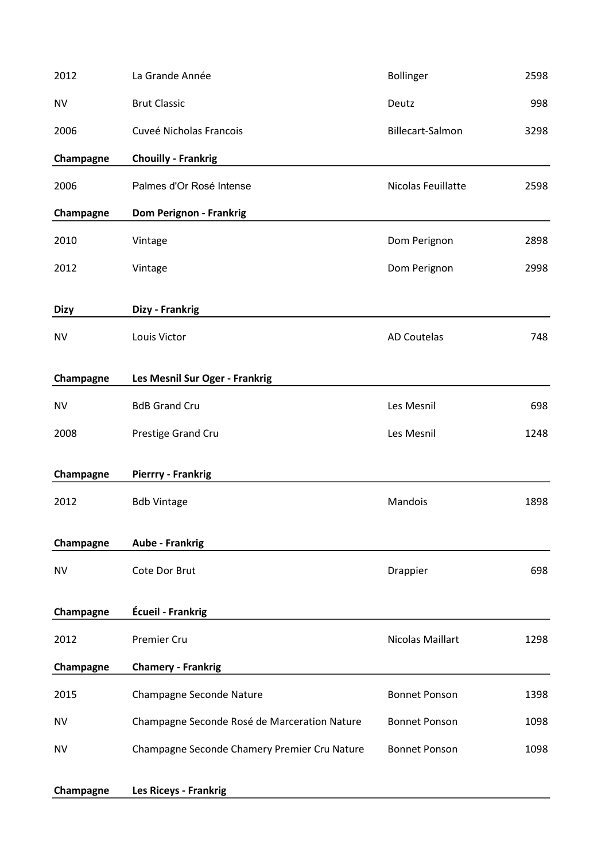| 2012        | La Grande Année                              | Bollinger            | 2598 |
|-------------|----------------------------------------------|----------------------|------|
| <b>NV</b>   | <b>Brut Classic</b>                          | Deutz                | 998  |
| 2006        | Cuveé Nicholas Francois                      | Billecart-Salmon     | 3298 |
| Champagne   | <b>Chouilly - Frankrig</b>                   |                      |      |
| 2006        | Palmes d'Or Rosé Intense                     | Nicolas Feuillatte   | 2598 |
| Champagne   | <b>Dom Perignon - Frankrig</b>               |                      |      |
| 2010        | Vintage                                      | Dom Perignon         | 2898 |
| 2012        | Vintage                                      | Dom Perignon         | 2998 |
| <b>Dizy</b> | Dizy - Frankrig                              |                      |      |
| <b>NV</b>   | Louis Victor                                 | <b>AD Coutelas</b>   | 748  |
| Champagne   | Les Mesnil Sur Oger - Frankrig               |                      |      |
| <b>NV</b>   | <b>BdB Grand Cru</b>                         | Les Mesnil           | 698  |
| 2008        | Prestige Grand Cru                           | Les Mesnil           | 1248 |
| Champagne   | <b>Pierrry - Frankrig</b>                    |                      |      |
| 2012        | <b>Bdb Vintage</b>                           | Mandois              | 1898 |
| Champagne   | <b>Aube - Frankrig</b>                       |                      |      |
| <b>NV</b>   | Cote Dor Brut                                | Drappier             | 698  |
| Champagne   | Écueil - Frankrig                            |                      |      |
| 2012        | Premier Cru                                  | Nicolas Maillart     | 1298 |
| Champagne   | <b>Chamery - Frankrig</b>                    |                      |      |
| 2015        | Champagne Seconde Nature                     | <b>Bonnet Ponson</b> | 1398 |
| NV          | Champagne Seconde Rosé de Marceration Nature | <b>Bonnet Ponson</b> | 1098 |
| <b>NV</b>   | Champagne Seconde Chamery Premier Cru Nature | <b>Bonnet Ponson</b> | 1098 |
| Champagne   | <b>Les Riceys - Frankrig</b>                 |                      |      |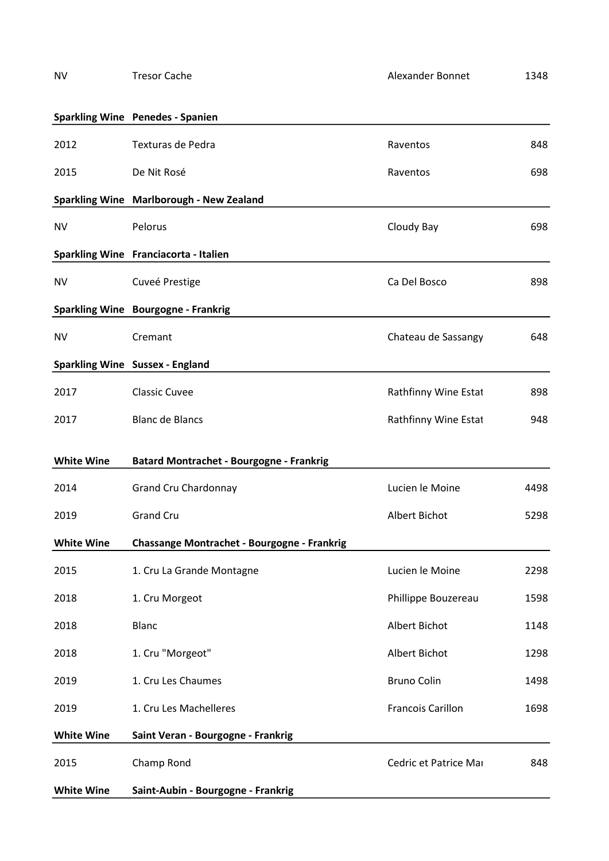|                   | <b>Sparkling Wine Penedes - Spanien</b>     |                          |      |
|-------------------|---------------------------------------------|--------------------------|------|
| 2012              | Texturas de Pedra                           | Raventos                 | 848  |
| 2015              | De Nit Rosé                                 | Raventos                 | 698  |
|                   | Sparkling Wine Marlborough - New Zealand    |                          |      |
| <b>NV</b>         | Pelorus                                     | Cloudy Bay               | 698  |
|                   | Sparkling Wine Franciacorta - Italien       |                          |      |
| NV                | Cuveé Prestige                              | Ca Del Bosco             | 898  |
|                   | Sparkling Wine Bourgogne - Frankrig         |                          |      |
| <b>NV</b>         | Cremant                                     | Chateau de Sassangy      | 648  |
|                   | <b>Sparkling Wine Sussex - England</b>      |                          |      |
| 2017              | <b>Classic Cuvee</b>                        | Rathfinny Wine Estat     | 898  |
| 2017              | <b>Blanc de Blancs</b>                      | Rathfinny Wine Estat     | 948  |
| <b>White Wine</b> | Batard Montrachet - Bourgogne - Frankrig    |                          |      |
| 2014              | <b>Grand Cru Chardonnay</b>                 | Lucien le Moine          | 4498 |
| 2019              | <b>Grand Cru</b>                            | Albert Bichot            | 5298 |
| <b>White Wine</b> | Chassange Montrachet - Bourgogne - Frankrig |                          |      |
| 2015              | 1. Cru La Grande Montagne                   | Lucien le Moine          | 2298 |
| 2018              | 1. Cru Morgeot                              | Phillippe Bouzereau      | 1598 |
| 2018              | <b>Blanc</b>                                | Albert Bichot            | 1148 |
| 2018              | 1. Cru "Morgeot"                            | Albert Bichot            | 1298 |
| 2019              | 1. Cru Les Chaumes                          | <b>Bruno Colin</b>       | 1498 |
| 2019              | 1. Cru Les Machelleres                      | <b>Francois Carillon</b> | 1698 |
| <b>White Wine</b> | Saint Veran - Bourgogne - Frankrig          |                          |      |
| 2015              | Champ Rond                                  | Cedric et Patrice Mai    | 848  |
| <b>White Wine</b> | Saint-Aubin - Bourgogne - Frankrig          |                          |      |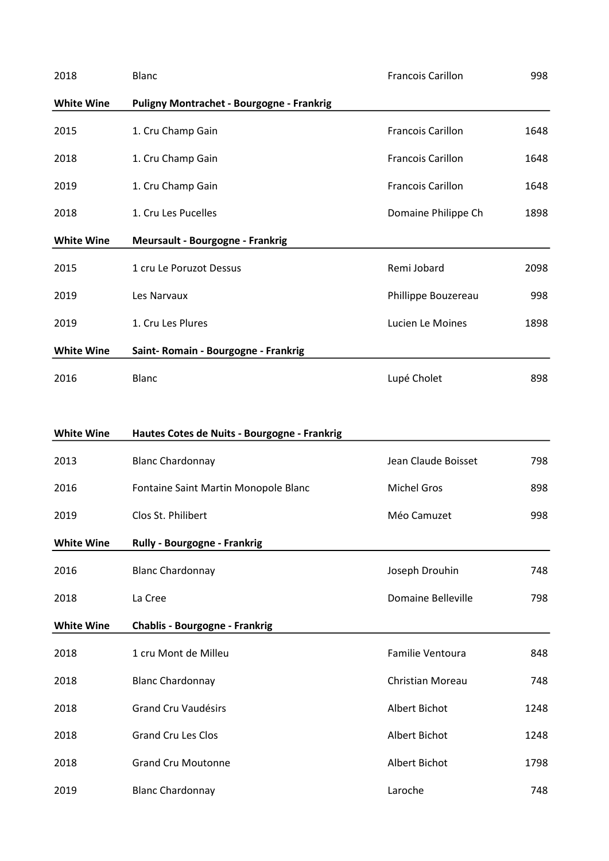| 2018              | <b>Blanc</b>                                 | <b>Francois Carillon</b>  | 998  |
|-------------------|----------------------------------------------|---------------------------|------|
| <b>White Wine</b> | Puligny Montrachet - Bourgogne - Frankrig    |                           |      |
| 2015              | 1. Cru Champ Gain                            | <b>Francois Carillon</b>  | 1648 |
| 2018              | 1. Cru Champ Gain                            | <b>Francois Carillon</b>  | 1648 |
| 2019              | 1. Cru Champ Gain                            | <b>Francois Carillon</b>  | 1648 |
| 2018              | 1. Cru Les Pucelles                          | Domaine Philippe Ch       | 1898 |
| <b>White Wine</b> | <b>Meursault - Bourgogne - Frankrig</b>      |                           |      |
| 2015              | 1 cru Le Poruzot Dessus                      | Remi Jobard               | 2098 |
| 2019              | Les Narvaux                                  | Phillippe Bouzereau       | 998  |
| 2019              | 1. Cru Les Plures                            | Lucien Le Moines          | 1898 |
| <b>White Wine</b> | Saint-Romain - Bourgogne - Frankrig          |                           |      |
| 2016              | <b>Blanc</b>                                 | Lupé Cholet               | 898  |
|                   |                                              |                           |      |
| <b>White Wine</b> | Hautes Cotes de Nuits - Bourgogne - Frankrig |                           |      |
| 2013              | <b>Blanc Chardonnay</b>                      | Jean Claude Boisset       | 798  |
| 2016              | Fontaine Saint Martin Monopole Blanc         | <b>Michel Gros</b>        | 898  |
| 2019              | Clos St. Philibert                           | Méo Camuzet               | 998  |
| <b>White Wine</b> | Rully - Bourgogne - Frankrig                 |                           |      |
| 2016              | <b>Blanc Chardonnay</b>                      | Joseph Drouhin            | 748  |
| 2018              | La Cree                                      | <b>Domaine Belleville</b> | 798  |
| <b>White Wine</b> | <b>Chablis - Bourgogne - Frankrig</b>        |                           |      |
| 2018              | 1 cru Mont de Milleu                         | Familie Ventoura          | 848  |
| 2018              | <b>Blanc Chardonnay</b>                      | Christian Moreau          | 748  |
| 2018              | <b>Grand Cru Vaudésirs</b>                   | Albert Bichot             | 1248 |
| 2018              | <b>Grand Cru Les Clos</b>                    | Albert Bichot             | 1248 |
| 2018              | <b>Grand Cru Moutonne</b>                    | Albert Bichot             | 1798 |
| 2019              | <b>Blanc Chardonnay</b>                      | Laroche                   | 748  |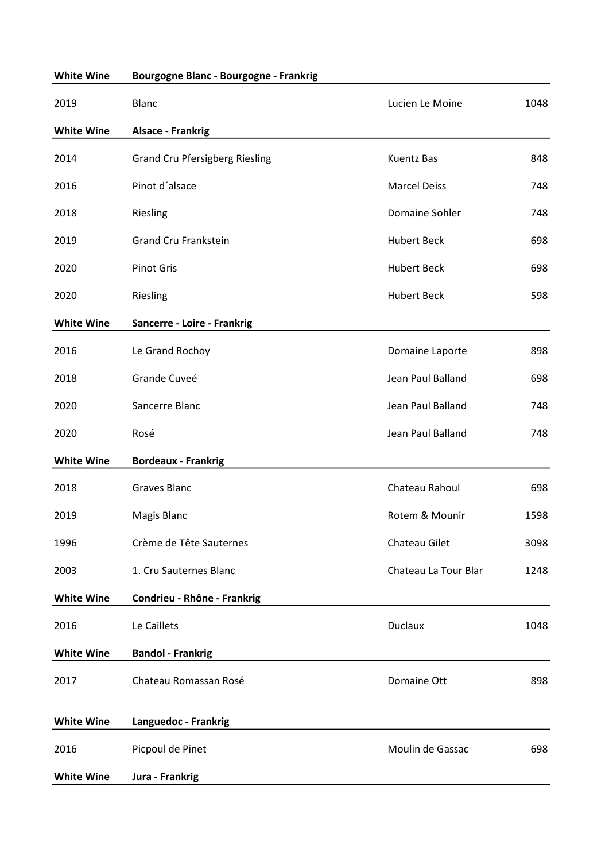| <b>White Wine</b> | Bourgogne Blanc - Bourgogne - Frankrig |                      |      |
|-------------------|----------------------------------------|----------------------|------|
| 2019              | <b>Blanc</b>                           | Lucien Le Moine      | 1048 |
| <b>White Wine</b> | <b>Alsace - Frankrig</b>               |                      |      |
| 2014              | <b>Grand Cru Pfersigberg Riesling</b>  | <b>Kuentz Bas</b>    | 848  |
| 2016              | Pinot d'alsace                         | <b>Marcel Deiss</b>  | 748  |
| 2018              | Riesling                               | Domaine Sohler       | 748  |
| 2019              | <b>Grand Cru Frankstein</b>            | <b>Hubert Beck</b>   | 698  |
| 2020              | <b>Pinot Gris</b>                      | <b>Hubert Beck</b>   | 698  |
| 2020              | Riesling                               | <b>Hubert Beck</b>   | 598  |
| <b>White Wine</b> | Sancerre - Loire - Frankrig            |                      |      |
| 2016              | Le Grand Rochoy                        | Domaine Laporte      | 898  |
| 2018              | Grande Cuveé                           | Jean Paul Balland    | 698  |
| 2020              | Sancerre Blanc                         | Jean Paul Balland    | 748  |
| 2020              | Rosé                                   | Jean Paul Balland    | 748  |
| <b>White Wine</b> | <b>Bordeaux - Frankrig</b>             |                      |      |
| 2018              | <b>Graves Blanc</b>                    | Chateau Rahoul       | 698  |
| 2019              | <b>Magis Blanc</b>                     | Rotem & Mounir       | 1598 |
| 1996              | Crème de Tête Sauternes                | Chateau Gilet        | 3098 |
| 2003              | 1. Cru Sauternes Blanc                 | Chateau La Tour Blar | 1248 |
| <b>White Wine</b> | Condrieu - Rhône - Frankrig            |                      |      |
| 2016              | Le Caillets                            | <b>Duclaux</b>       | 1048 |
| <b>White Wine</b> | <b>Bandol - Frankrig</b>               |                      |      |
| 2017              | Chateau Romassan Rosé                  | Domaine Ott          | 898  |
| <b>White Wine</b> | Languedoc - Frankrig                   |                      |      |
| 2016              | Picpoul de Pinet                       | Moulin de Gassac     | 698  |
| <b>White Wine</b> | Jura - Frankrig                        |                      |      |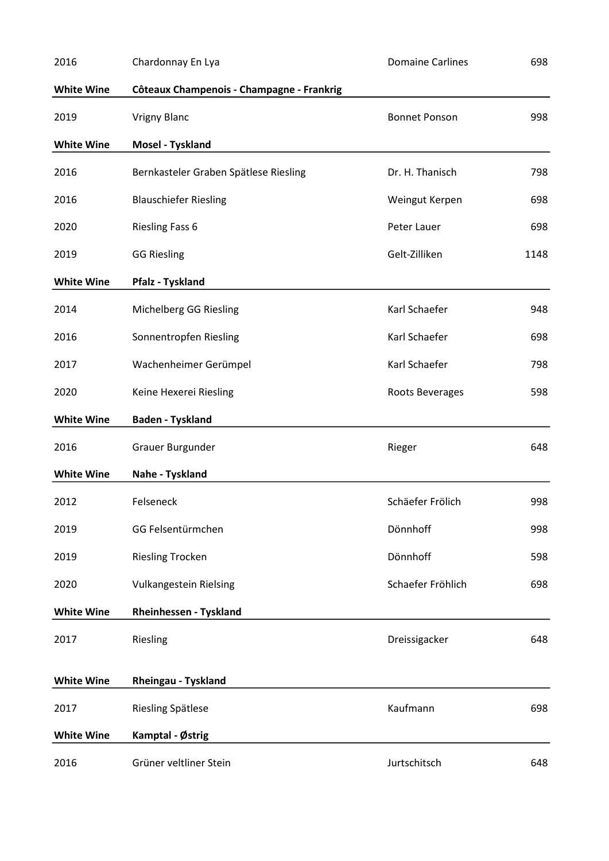| 2016              | Chardonnay En Lya                         | <b>Domaine Carlines</b> | 698  |
|-------------------|-------------------------------------------|-------------------------|------|
| <b>White Wine</b> | Côteaux Champenois - Champagne - Frankrig |                         |      |
| 2019              | <b>Vrigny Blanc</b>                       | <b>Bonnet Ponson</b>    | 998  |
| <b>White Wine</b> | Mosel - Tyskland                          |                         |      |
| 2016              | Bernkasteler Graben Spätlese Riesling     | Dr. H. Thanisch         | 798  |
| 2016              | <b>Blauschiefer Riesling</b>              | Weingut Kerpen          | 698  |
| 2020              | <b>Riesling Fass 6</b>                    | Peter Lauer             | 698  |
| 2019              | <b>GG Riesling</b>                        | Gelt-Zilliken           | 1148 |
| <b>White Wine</b> | <b>Pfalz - Tyskland</b>                   |                         |      |
| 2014              | Michelberg GG Riesling                    | Karl Schaefer           | 948  |
| 2016              | Sonnentropfen Riesling                    | Karl Schaefer           | 698  |
| 2017              | Wachenheimer Gerümpel                     | Karl Schaefer           | 798  |
| 2020              | Keine Hexerei Riesling                    | Roots Beverages         | 598  |
| <b>White Wine</b> | <b>Baden - Tyskland</b>                   |                         |      |
| 2016              | Grauer Burgunder                          | Rieger                  | 648  |
| <b>White Wine</b> | Nahe - Tyskland                           |                         |      |
| 2012              | Felseneck                                 | Schäefer Frölich        | 998  |
| 2019              | GG Felsentürmchen                         | Dönnhoff                | 998  |
| 2019              | <b>Riesling Trocken</b>                   | Dönnhoff                | 598  |
| 2020              | <b>Vulkangestein Rielsing</b>             | Schaefer Fröhlich       | 698  |
| <b>White Wine</b> | Rheinhessen - Tyskland                    |                         |      |
| 2017              | Riesling                                  | Dreissigacker           | 648  |
| <b>White Wine</b> | Rheingau - Tyskland                       |                         |      |
| 2017              | Riesling Spätlese                         | Kaufmann                | 698  |
| <b>White Wine</b> | Kamptal - Østrig                          |                         |      |
| 2016              | Grüner veltliner Stein                    | Jurtschitsch            | 648  |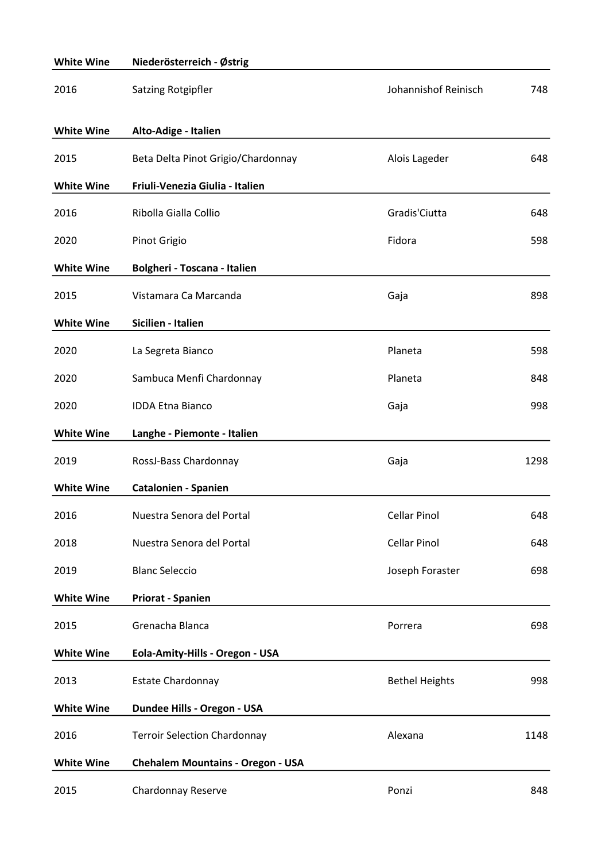| <b>White Wine</b> | Niederösterreich - Østrig                |                       |      |
|-------------------|------------------------------------------|-----------------------|------|
| 2016              | Satzing Rotgipfler                       | Johannishof Reinisch  | 748  |
| <b>White Wine</b> | Alto-Adige - Italien                     |                       |      |
| 2015              | Beta Delta Pinot Grigio/Chardonnay       | Alois Lageder         | 648  |
| <b>White Wine</b> | Friuli-Venezia Giulia - Italien          |                       |      |
| 2016              | Ribolla Gialla Collio                    | Gradis'Ciutta         | 648  |
| 2020              | Pinot Grigio                             | Fidora                | 598  |
| <b>White Wine</b> | Bolgheri - Toscana - Italien             |                       |      |
| 2015              | Vistamara Ca Marcanda                    | Gaja                  | 898  |
| <b>White Wine</b> | Sicilien - Italien                       |                       |      |
| 2020              | La Segreta Bianco                        | Planeta               | 598  |
| 2020              | Sambuca Menfi Chardonnay                 | Planeta               | 848  |
| 2020              | <b>IDDA Etna Bianco</b>                  | Gaja                  | 998  |
| <b>White Wine</b> | Langhe - Piemonte - Italien              |                       |      |
| 2019              | RossJ-Bass Chardonnay                    | Gaja                  | 1298 |
| <b>White Wine</b> | <b>Catalonien - Spanien</b>              |                       |      |
| 2016              | Nuestra Senora del Portal                | <b>Cellar Pinol</b>   | 648  |
| 2018              | Nuestra Senora del Portal                | <b>Cellar Pinol</b>   | 648  |
| 2019              | <b>Blanc Seleccio</b>                    | Joseph Foraster       | 698  |
| <b>White Wine</b> | <b>Priorat - Spanien</b>                 |                       |      |
| 2015              | Grenacha Blanca                          | Porrera               | 698  |
| <b>White Wine</b> | Eola-Amity-Hills - Oregon - USA          |                       |      |
| 2013              | <b>Estate Chardonnay</b>                 | <b>Bethel Heights</b> | 998  |
| <b>White Wine</b> | Dundee Hills - Oregon - USA              |                       |      |
| 2016              | <b>Terroir Selection Chardonnay</b>      | Alexana               | 1148 |
| <b>White Wine</b> | <b>Chehalem Mountains - Oregon - USA</b> |                       |      |
| 2015              | Chardonnay Reserve                       | Ponzi                 | 848  |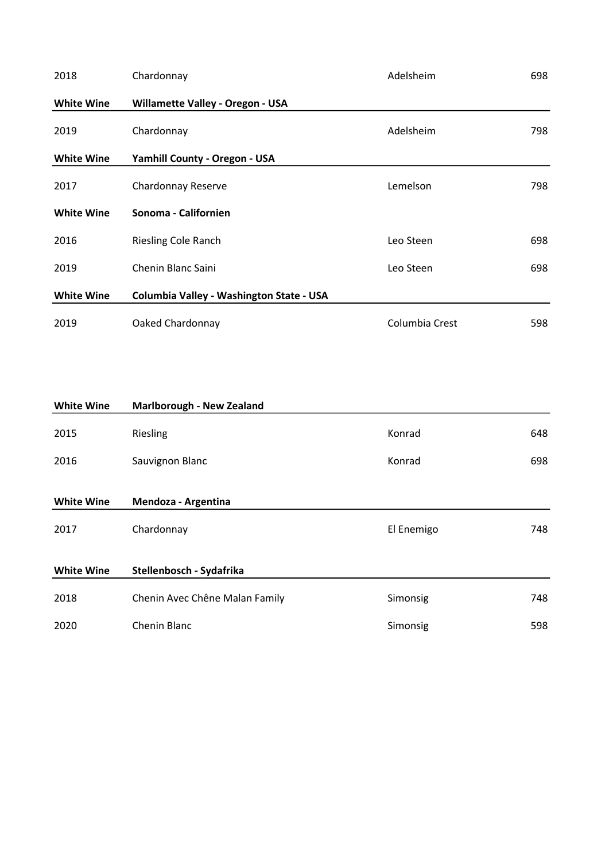| 2018              | Chardonnay                               | Adelsheim      | 698 |
|-------------------|------------------------------------------|----------------|-----|
| <b>White Wine</b> | <b>Willamette Valley - Oregon - USA</b>  |                |     |
| 2019              | Chardonnay                               | Adelsheim      | 798 |
| <b>White Wine</b> | Yamhill County - Oregon - USA            |                |     |
| 2017              | Chardonnay Reserve                       | Lemelson       | 798 |
| <b>White Wine</b> | Sonoma - Californien                     |                |     |
| 2016              | <b>Riesling Cole Ranch</b>               | Leo Steen      | 698 |
| 2019              | Chenin Blanc Saini                       | Leo Steen      | 698 |
| <b>White Wine</b> | Columbia Valley - Washington State - USA |                |     |
| 2019              | Oaked Chardonnay                         | Columbia Crest | 598 |

| <b>White Wine</b> | <b>Marlborough - New Zealand</b> |            |     |
|-------------------|----------------------------------|------------|-----|
| 2015              | Riesling                         | Konrad     | 648 |
| 2016              | Sauvignon Blanc                  | Konrad     | 698 |
| <b>White Wine</b> | Mendoza - Argentina              |            |     |
| 2017              | Chardonnay                       | El Enemigo | 748 |
| <b>White Wine</b> | Stellenbosch - Sydafrika         |            |     |
| 2018              | Chenin Avec Chêne Malan Family   | Simonsig   | 748 |
| 2020              | Chenin Blanc                     | Simonsig   | 598 |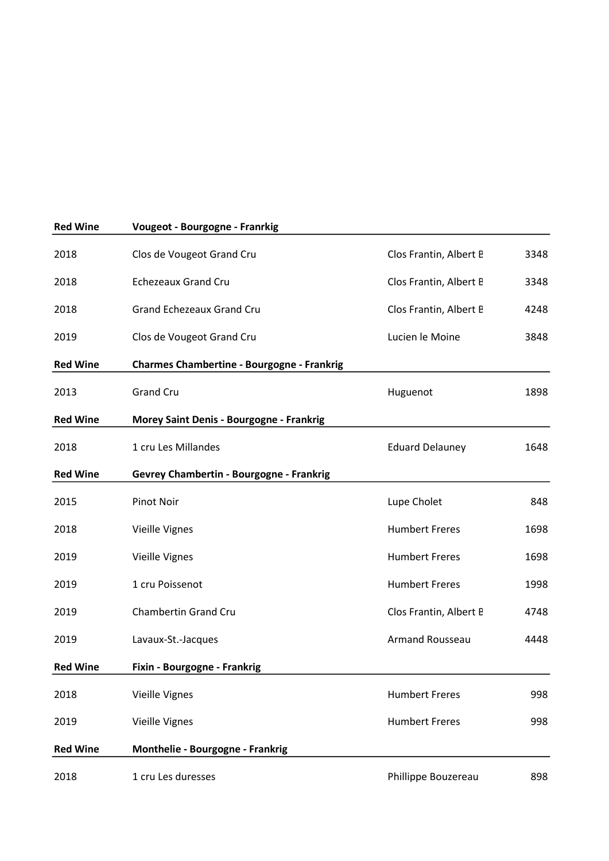| <b>Red Wine</b> | <b>Vougeot - Bourgogne - Franrkig</b>             |                        |      |
|-----------------|---------------------------------------------------|------------------------|------|
| 2018            | Clos de Vougeot Grand Cru                         | Clos Frantin, Albert B | 3348 |
| 2018            | <b>Echezeaux Grand Cru</b>                        | Clos Frantin, Albert B | 3348 |
| 2018            | <b>Grand Echezeaux Grand Cru</b>                  | Clos Frantin, Albert B | 4248 |
| 2019            | Clos de Vougeot Grand Cru                         | Lucien le Moine        | 3848 |
| <b>Red Wine</b> | <b>Charmes Chambertine - Bourgogne - Frankrig</b> |                        |      |
| 2013            | <b>Grand Cru</b>                                  | Huguenot               | 1898 |
| <b>Red Wine</b> | <b>Morey Saint Denis - Bourgogne - Frankrig</b>   |                        |      |
| 2018            | 1 cru Les Millandes                               | <b>Eduard Delauney</b> | 1648 |
| <b>Red Wine</b> | Gevrey Chambertin - Bourgogne - Frankrig          |                        |      |
| 2015            | <b>Pinot Noir</b>                                 | Lupe Cholet            | 848  |
| 2018            | Vieille Vignes                                    | <b>Humbert Freres</b>  | 1698 |
| 2019            | <b>Vieille Vignes</b>                             | <b>Humbert Freres</b>  | 1698 |
| 2019            | 1 cru Poissenot                                   | <b>Humbert Freres</b>  | 1998 |
| 2019            | Chambertin Grand Cru                              | Clos Frantin, Albert B | 4748 |
| 2019            | Lavaux-St.-Jacques                                | Armand Rousseau        | 4448 |
| <b>Red Wine</b> | Fixin - Bourgogne - Frankrig                      |                        |      |
| 2018            | <b>Vieille Vignes</b>                             | <b>Humbert Freres</b>  | 998  |
| 2019            | <b>Vieille Vignes</b>                             | <b>Humbert Freres</b>  | 998  |
| <b>Red Wine</b> | Monthelie - Bourgogne - Frankrig                  |                        |      |
| 2018            | 1 cru Les duresses                                | Phillippe Bouzereau    | 898  |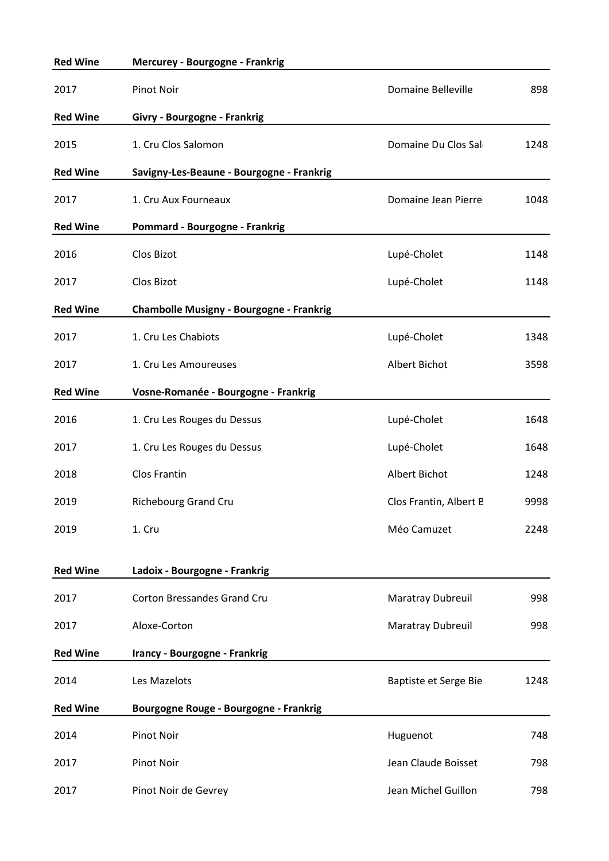| <b>Red Wine</b> | <b>Mercurey - Bourgogne - Frankrig</b>    |                           |      |
|-----------------|-------------------------------------------|---------------------------|------|
| 2017            | <b>Pinot Noir</b>                         | <b>Domaine Belleville</b> | 898  |
| <b>Red Wine</b> | Givry - Bourgogne - Frankrig              |                           |      |
| 2015            | 1. Cru Clos Salomon                       | Domaine Du Clos Sal       | 1248 |
| <b>Red Wine</b> | Savigny-Les-Beaune - Bourgogne - Frankrig |                           |      |
| 2017            | 1. Cru Aux Fourneaux                      | Domaine Jean Pierre       | 1048 |
| <b>Red Wine</b> | Pommard - Bourgogne - Frankrig            |                           |      |
| 2016            | Clos Bizot                                | Lupé-Cholet               | 1148 |
| 2017            | Clos Bizot                                | Lupé-Cholet               | 1148 |
| <b>Red Wine</b> | Chambolle Musigny - Bourgogne - Frankrig  |                           |      |
| 2017            | 1. Cru Les Chabiots                       | Lupé-Cholet               | 1348 |
| 2017            | 1. Cru Les Amoureuses                     | Albert Bichot             | 3598 |
| <b>Red Wine</b> | Vosne-Romanée - Bourgogne - Frankrig      |                           |      |
| 2016            | 1. Cru Les Rouges du Dessus               | Lupé-Cholet               | 1648 |
| 2017            | 1. Cru Les Rouges du Dessus               | Lupé-Cholet               | 1648 |
| 2018            | Clos Frantin                              | Albert Bichot             | 1248 |
| 2019            | <b>Richebourg Grand Cru</b>               | Clos Frantin, Albert B    | 9998 |
| 2019            | 1. Cru                                    | Méo Camuzet               | 2248 |
| <b>Red Wine</b> | Ladoix - Bourgogne - Frankrig             |                           |      |
| 2017            | <b>Corton Bressandes Grand Cru</b>        | <b>Maratray Dubreuil</b>  | 998  |
| 2017            | Aloxe-Corton                              | Maratray Dubreuil         | 998  |
| <b>Red Wine</b> | Irancy - Bourgogne - Frankrig             |                           |      |
| 2014            | Les Mazelots                              | Baptiste et Serge Bie     | 1248 |
| <b>Red Wine</b> | Bourgogne Rouge - Bourgogne - Frankrig    |                           |      |
| 2014            | <b>Pinot Noir</b>                         | Huguenot                  | 748  |
| 2017            | Pinot Noir                                | Jean Claude Boisset       | 798  |
| 2017            | Pinot Noir de Gevrey                      | Jean Michel Guillon       | 798  |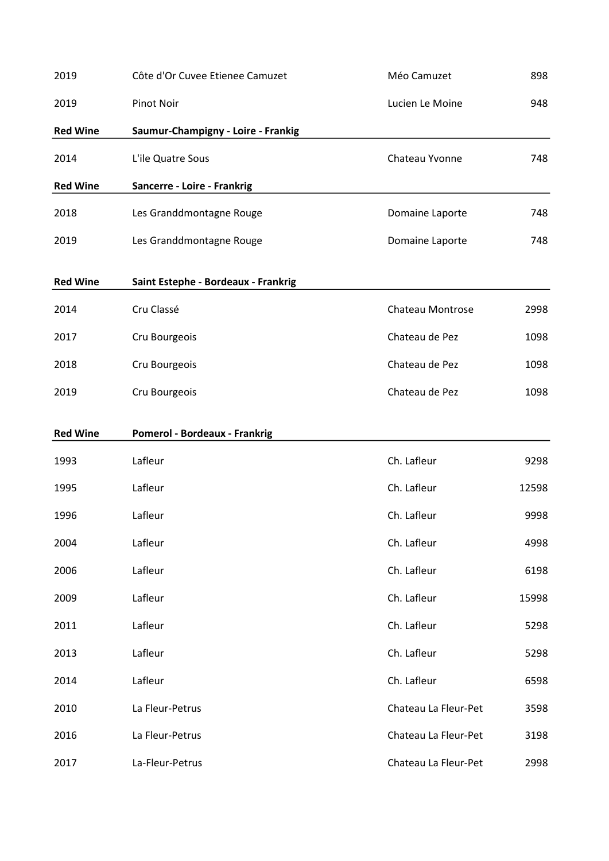| 2019            | Côte d'Or Cuvee Etienee Camuzet      | Méo Camuzet             | 898   |
|-----------------|--------------------------------------|-------------------------|-------|
| 2019            | <b>Pinot Noir</b>                    | Lucien Le Moine         | 948   |
| <b>Red Wine</b> | Saumur-Champigny - Loire - Frankig   |                         |       |
| 2014            | L'ile Quatre Sous                    | Chateau Yvonne          | 748   |
| <b>Red Wine</b> | Sancerre - Loire - Frankrig          |                         |       |
| 2018            | Les Granddmontagne Rouge             | Domaine Laporte         | 748   |
| 2019            | Les Granddmontagne Rouge             | Domaine Laporte         | 748   |
| <b>Red Wine</b> | Saint Estephe - Bordeaux - Frankrig  |                         |       |
| 2014            | Cru Classé                           | <b>Chateau Montrose</b> | 2998  |
| 2017            | Cru Bourgeois                        | Chateau de Pez          | 1098  |
| 2018            | Cru Bourgeois                        | Chateau de Pez          | 1098  |
| 2019            | Cru Bourgeois                        | Chateau de Pez          | 1098  |
| <b>Red Wine</b> | <b>Pomerol - Bordeaux - Frankrig</b> |                         |       |
| 1993            | Lafleur                              | Ch. Lafleur             | 9298  |
| 1995            | Lafleur                              | Ch. Lafleur             | 12598 |
| 1996            | Lafleur                              | Ch. Lafleur             | 9998  |
| 2004            | Lafleur                              | Ch. Lafleur             | 4998  |
| 2006            | Lafleur                              | Ch. Lafleur             | 6198  |
| 2009            | Lafleur                              | Ch. Lafleur             | 15998 |
| 2011            | Lafleur                              | Ch. Lafleur             | 5298  |
| 2013            | Lafleur                              | Ch. Lafleur             | 5298  |
| 2014            | Lafleur                              | Ch. Lafleur             | 6598  |
| 2010            | La Fleur-Petrus                      | Chateau La Fleur-Pet    | 3598  |
| 2016            | La Fleur-Petrus                      | Chateau La Fleur-Pet    | 3198  |
| 2017            | La-Fleur-Petrus                      | Chateau La Fleur-Pet    | 2998  |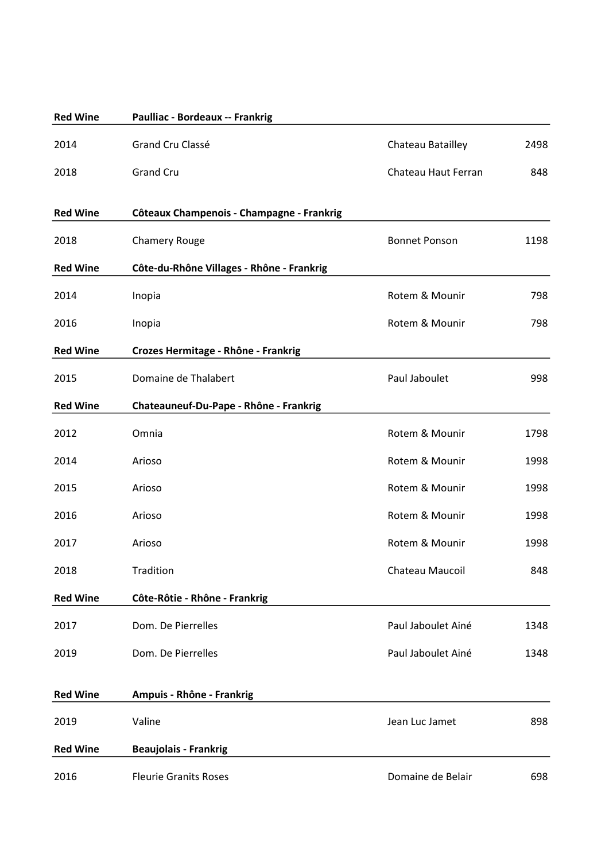| <b>Red Wine</b> | Paulliac - Bordeaux -- Frankrig           |                      |      |
|-----------------|-------------------------------------------|----------------------|------|
| 2014            | Grand Cru Classé                          | Chateau Batailley    | 2498 |
| 2018            | <b>Grand Cru</b>                          | Chateau Haut Ferran  | 848  |
| <b>Red Wine</b> | Côteaux Champenois - Champagne - Frankrig |                      |      |
| 2018            | <b>Chamery Rouge</b>                      | <b>Bonnet Ponson</b> | 1198 |
| <b>Red Wine</b> | Côte-du-Rhône Villages - Rhône - Frankrig |                      |      |
| 2014            | Inopia                                    | Rotem & Mounir       | 798  |
| 2016            | Inopia                                    | Rotem & Mounir       | 798  |
| <b>Red Wine</b> | Crozes Hermitage - Rhône - Frankrig       |                      |      |
| 2015            | Domaine de Thalabert                      | Paul Jaboulet        | 998  |
| <b>Red Wine</b> | Chateauneuf-Du-Pape - Rhône - Frankrig    |                      |      |
| 2012            | Omnia                                     | Rotem & Mounir       | 1798 |
| 2014            | Arioso                                    | Rotem & Mounir       | 1998 |
| 2015            | Arioso                                    | Rotem & Mounir       | 1998 |
| 2016            | Arioso                                    | Rotem & Mounir       | 1998 |
| 2017            | Arioso                                    | Rotem & Mounir       | 1998 |
| 2018            | Tradition                                 | Chateau Maucoil      | 848  |
| <b>Red Wine</b> | Côte-Rôtie - Rhône - Frankrig             |                      |      |
| 2017            | Dom. De Pierrelles                        | Paul Jaboulet Ainé   | 1348 |
| 2019            | Dom. De Pierrelles                        | Paul Jaboulet Ainé   | 1348 |
| <b>Red Wine</b> | Ampuis - Rhône - Frankrig                 |                      |      |
| 2019            | Valine                                    | Jean Luc Jamet       | 898  |
| <b>Red Wine</b> | <b>Beaujolais - Frankrig</b>              |                      |      |
| 2016            | <b>Fleurie Granits Roses</b>              | Domaine de Belair    | 698  |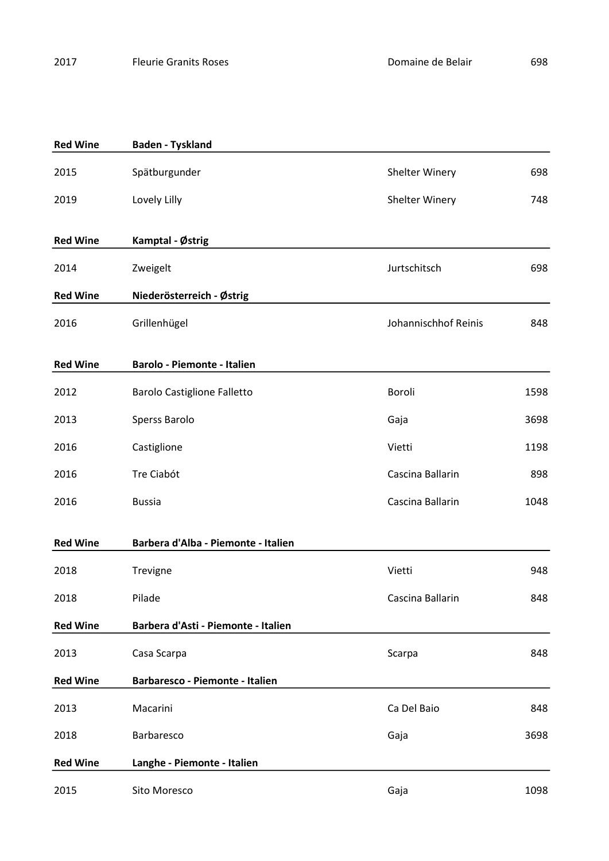Red Wine Baden - Tyskland

2015 Spätburgunder Shelter Winery 698 2019 Lovely Lilly **Louise Community** Shelter Winery 748 Red Wine Kamptal - Østrig 2014 Zweigelt Jurtschitsch 698 Red Wine Niederösterreich - Østrig 2016 Grillenhügel Grillenhügel Superinten Superinten Superinten Superinten Superinten Superinten Superinten Superinten Superinten Superinten Superinten Superinten Superinten Superinten Superinten Superinten Superinten Supe Red Wine Barolo - Piemonte - Italien 2012 Barolo Castiglione Falletto Boroli Boroli 1598 2013 Sperss Barolo Gaja 3698 2016 Castiglione Castiglione Castiglione Castiglione Castiglione Castiglione Castiglione Castiglione Castiglio 2016 Tre Ciabót Cascina Ballarin 898 2016 Bussia Cascina Ballarin 1048 Red Wine Barbera d'Alba - Piemonte - Italien 2018 Trevigne **Trevigne** Vietti Vietti 948 2018 Pilade Cascina Ballarin 848 Red Wine Barbera d'Asti - Piemonte - Italien 2013 Casa Scarpa Casa Scarpa Research Casa Scarpa Casa Scarpa Scarpa Scarpa Research Casa Scarpa Casa Scarpa S Red Wine Barbaresco - Piemonte - Italien 2013 Macarini Ca Del Baio 848 2018 Barbaresco Gaja 3698 Red Wine Langhe - Piemonte - Italien

2015 Sito Moresco Gaja 1098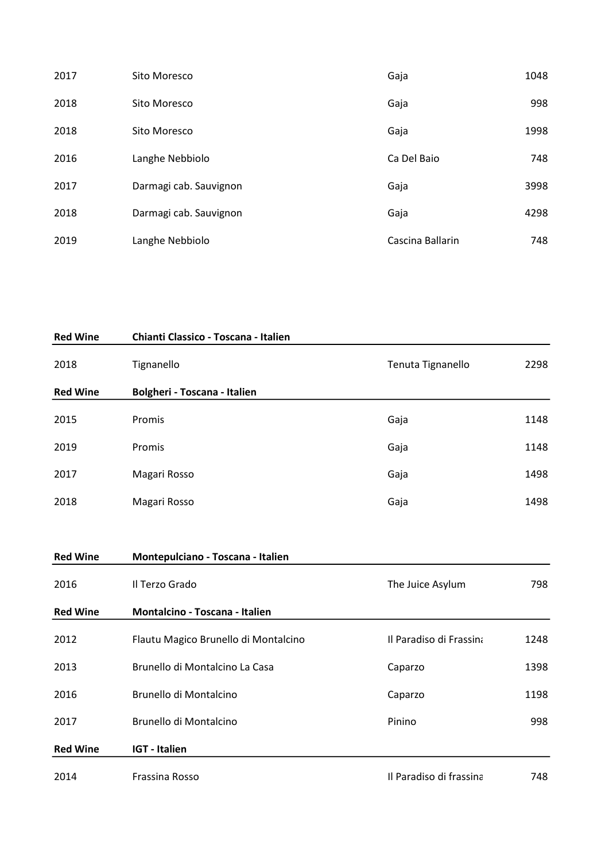| 2017 | Sito Moresco           | Gaja             | 1048 |
|------|------------------------|------------------|------|
| 2018 | Sito Moresco           | Gaja             | 998  |
| 2018 | Sito Moresco           | Gaja             | 1998 |
| 2016 | Langhe Nebbiolo        | Ca Del Baio      | 748  |
| 2017 | Darmagi cab. Sauvignon | Gaja             | 3998 |
| 2018 | Darmagi cab. Sauvignon | Gaja             | 4298 |
| 2019 | Langhe Nebbiolo        | Cascina Ballarin | 748  |

| <b>Red Wine</b> | Chianti Classico - Toscana - Italien |                   |      |
|-----------------|--------------------------------------|-------------------|------|
| 2018            | Tignanello                           | Tenuta Tignanello | 2298 |
| <b>Red Wine</b> | Bolgheri - Toscana - Italien         |                   |      |
| 2015            | Promis                               | Gaja              | 1148 |
| 2019            | Promis                               | Gaja              | 1148 |
| 2017            | Magari Rosso                         | Gaja              | 1498 |
| 2018            | Magari Rosso                         | Gaja              | 1498 |
|                 |                                      |                   |      |
| <b>Red Wine</b> | Montepulciano - Toscana - Italien    |                   |      |

| 2016            | Il Terzo Grado                        | The Juice Asylum        | 798  |
|-----------------|---------------------------------------|-------------------------|------|
| <b>Red Wine</b> | <b>Montalcino - Toscana - Italien</b> |                         |      |
| 2012            | Flautu Magico Brunello di Montalcino  | Il Paradiso di Frassina | 1248 |
| 2013            | Brunello di Montalcino La Casa        | Caparzo                 | 1398 |
| 2016            | Brunello di Montalcino                | Caparzo                 | 1198 |
| 2017            | Brunello di Montalcino                | Pinino                  | 998  |
| <b>Red Wine</b> | <b>IGT</b> - Italien                  |                         |      |
| 2014            | Frassina Rosso                        | Il Paradiso di frassina | 748  |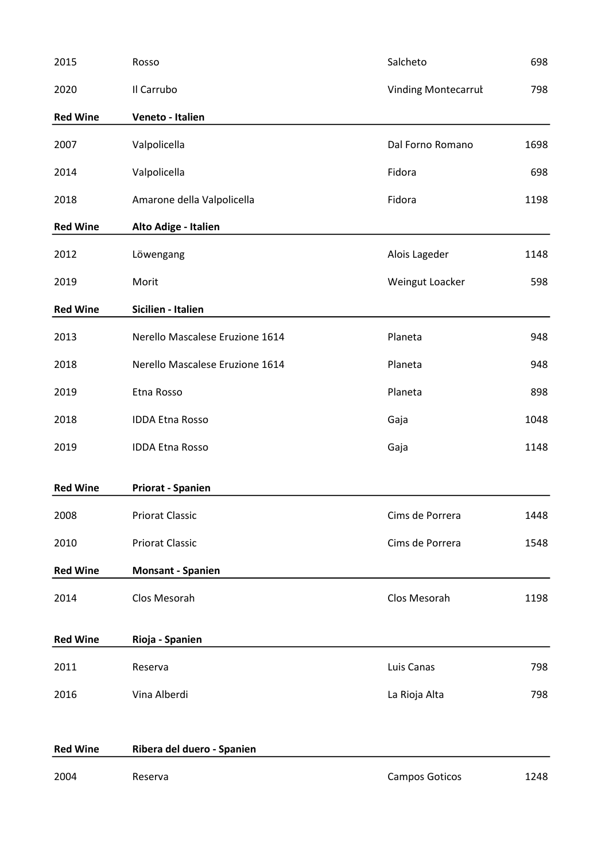| 2015            | Rosso                           | Salcheto                   | 698  |
|-----------------|---------------------------------|----------------------------|------|
| 2020            | Il Carrubo                      | <b>Vinding Montecarrul</b> | 798  |
| <b>Red Wine</b> | Veneto - Italien                |                            |      |
| 2007            | Valpolicella                    | Dal Forno Romano           | 1698 |
| 2014            | Valpolicella                    | Fidora                     | 698  |
| 2018            | Amarone della Valpolicella      | Fidora                     | 1198 |
| <b>Red Wine</b> | Alto Adige - Italien            |                            |      |
| 2012            | Löwengang                       | Alois Lageder              | 1148 |
| 2019            | Morit                           | Weingut Loacker            | 598  |
| <b>Red Wine</b> | Sicilien - Italien              |                            |      |
| 2013            | Nerello Mascalese Eruzione 1614 | Planeta                    | 948  |
| 2018            | Nerello Mascalese Eruzione 1614 | Planeta                    | 948  |
| 2019            | Etna Rosso                      | Planeta                    | 898  |
| 2018            | <b>IDDA Etna Rosso</b>          | Gaja                       | 1048 |
| 2019            | <b>IDDA Etna Rosso</b>          | Gaja                       | 1148 |
| <b>Red Wine</b> | <b>Priorat - Spanien</b>        |                            |      |
| 2008            | <b>Priorat Classic</b>          | Cims de Porrera            | 1448 |
| 2010            | <b>Priorat Classic</b>          | Cims de Porrera            | 1548 |
| <b>Red Wine</b> | <b>Monsant - Spanien</b>        |                            |      |
| 2014            | Clos Mesorah                    | Clos Mesorah               | 1198 |
| <b>Red Wine</b> | Rioja - Spanien                 |                            |      |
| 2011            | Reserva                         | Luis Canas                 | 798  |
| 2016            | Vina Alberdi                    | La Rioja Alta              | 798  |
|                 |                                 |                            |      |
| <b>Red Wine</b> | Ribera del duero - Spanien      |                            |      |
| 2004            | Reserva                         | Campos Goticos             | 1248 |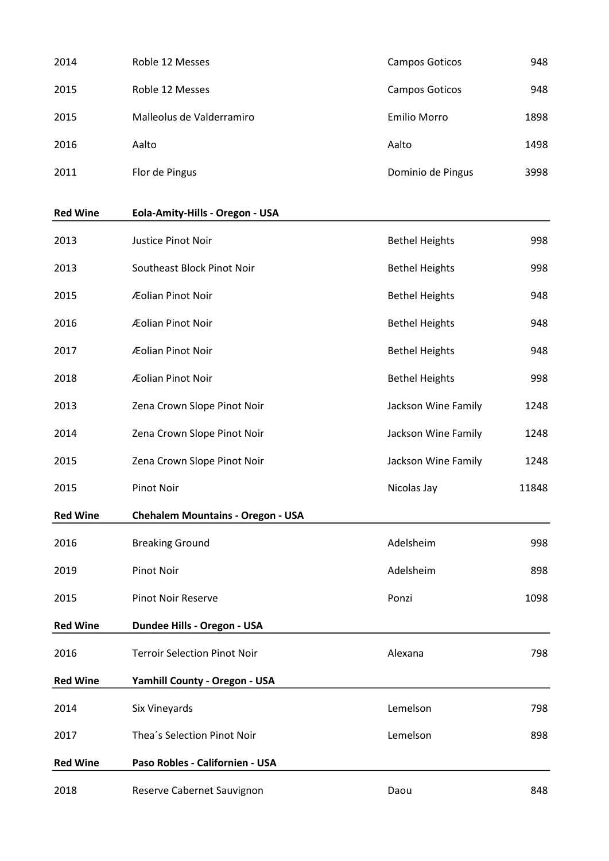| 2014 | Roble 12 Messes           | Campos Goticos    | 948  |
|------|---------------------------|-------------------|------|
| 2015 | Roble 12 Messes           | Campos Goticos    | 948  |
| 2015 | Malleolus de Valderramiro | Emilio Morro      | 1898 |
| 2016 | Aalto                     | Aalto             | 1498 |
| 2011 | Flor de Pingus            | Dominio de Pingus | 3998 |

## Red Wine Eola-Amity-Hills - Oregon - USA

| 2013            | Justice Pinot Noir                       | <b>Bethel Heights</b> | 998   |
|-----------------|------------------------------------------|-----------------------|-------|
| 2013            | Southeast Block Pinot Noir               | <b>Bethel Heights</b> | 998   |
| 2015            | Æolian Pinot Noir                        | <b>Bethel Heights</b> | 948   |
| 2016            | Æolian Pinot Noir                        | <b>Bethel Heights</b> | 948   |
| 2017            | Æolian Pinot Noir                        | <b>Bethel Heights</b> | 948   |
| 2018            | Æolian Pinot Noir                        | <b>Bethel Heights</b> | 998   |
| 2013            | Zena Crown Slope Pinot Noir              | Jackson Wine Family   | 1248  |
| 2014            | Zena Crown Slope Pinot Noir              | Jackson Wine Family   | 1248  |
| 2015            | Zena Crown Slope Pinot Noir              | Jackson Wine Family   | 1248  |
| 2015            | <b>Pinot Noir</b>                        | Nicolas Jay           | 11848 |
| <b>Red Wine</b> | <b>Chehalem Mountains - Oregon - USA</b> |                       |       |
| 2016            | <b>Breaking Ground</b>                   | Adelsheim             | 998   |
| 2019            | <b>Pinot Noir</b>                        | Adelsheim             | 898   |
| 2015            | <b>Pinot Noir Reserve</b>                | Ponzi                 | 1098  |
| <b>Red Wine</b> | Dundee Hills - Oregon - USA              |                       |       |
| 2016            | <b>Terroir Selection Pinot Noir</b>      | Alexana               | 798   |
| <b>Red Wine</b> | Yamhill County - Oregon - USA            |                       |       |
| 2014            | Six Vineyards                            | Lemelson              | 798   |
| 2017            | Thea's Selection Pinot Noir              | Lemelson              | 898   |
| <b>Red Wine</b> | Paso Robles - Californien - USA          |                       |       |
| 2018            | Reserve Cabernet Sauvignon               | Daou                  | 848   |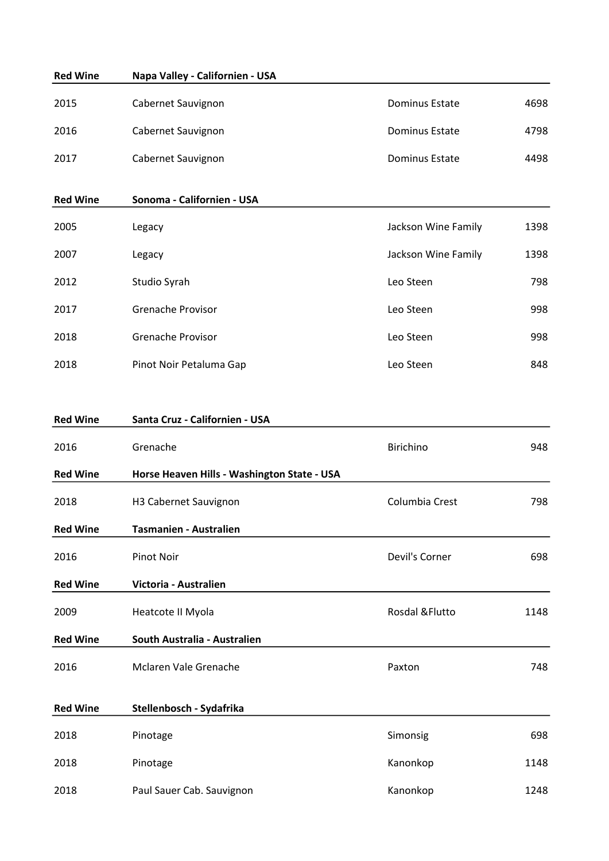| <b>Red Wine</b> | Napa Valley - Californien - USA             |                       |      |
|-----------------|---------------------------------------------|-----------------------|------|
| 2015            | Cabernet Sauvignon                          | <b>Dominus Estate</b> | 4698 |
| 2016            | Cabernet Sauvignon                          | Dominus Estate        | 4798 |
| 2017            | Cabernet Sauvignon                          | <b>Dominus Estate</b> | 4498 |
| <b>Red Wine</b> | Sonoma - Californien - USA                  |                       |      |
| 2005            | Legacy                                      | Jackson Wine Family   | 1398 |
| 2007            | Legacy                                      | Jackson Wine Family   | 1398 |
| 2012            | Studio Syrah                                | Leo Steen             | 798  |
| 2017            | <b>Grenache Provisor</b>                    | Leo Steen             | 998  |
| 2018            | <b>Grenache Provisor</b>                    | Leo Steen             | 998  |
| 2018            | Pinot Noir Petaluma Gap                     | Leo Steen             | 848  |
|                 |                                             |                       |      |
| <b>Red Wine</b> | Santa Cruz - Californien - USA              |                       |      |
| 2016            | Grenache                                    | Birichino             | 948  |
| <b>Red Wine</b> | Horse Heaven Hills - Washington State - USA |                       |      |
| 2018            | H3 Cabernet Sauvignon                       | Columbia Crest        | 798  |
| <b>Red Wine</b> | <b>Tasmanien - Australien</b>               |                       |      |
| 2016            | Pinot Noir                                  | Devil's Corner        | 698  |
| <b>Red Wine</b> | Victoria - Australien                       |                       |      |
| 2009            | Heatcote II Myola                           | Rosdal & Flutto       | 1148 |
| <b>Red Wine</b> | South Australia - Australien                |                       |      |
| 2016            | Mclaren Vale Grenache                       | Paxton                | 748  |
| <b>Red Wine</b> | Stellenbosch - Sydafrika                    |                       |      |
| 2018            | Pinotage                                    | Simonsig              | 698  |
| 2018            | Pinotage                                    | Kanonkop              | 1148 |
| 2018            | Paul Sauer Cab. Sauvignon                   | Kanonkop              | 1248 |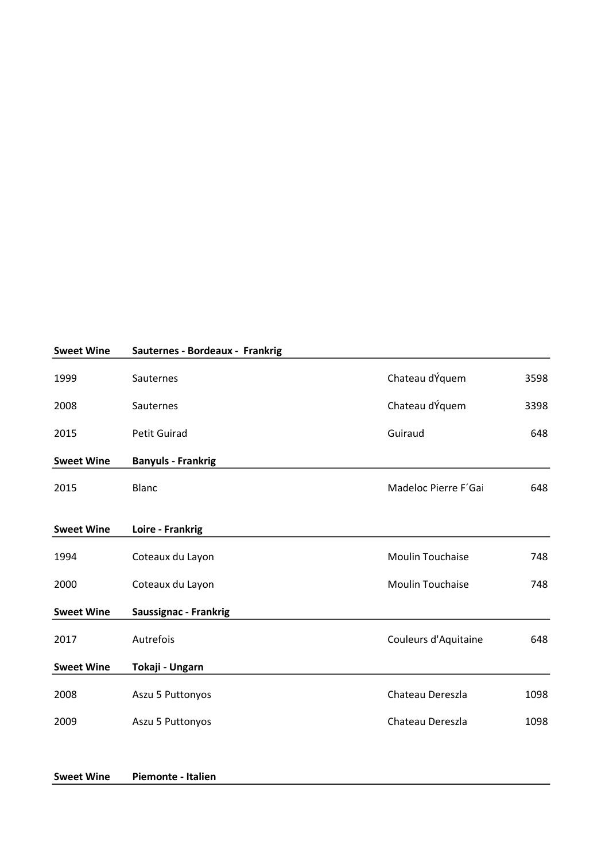| <b>Sweet Wine</b> | Sauternes - Bordeaux - Frankrig |                         |      |
|-------------------|---------------------------------|-------------------------|------|
| 1999              | Sauternes                       | Chateau dÝquem          | 3598 |
| 2008              | Sauternes                       | Chateau dÝquem          | 3398 |
| 2015              | <b>Petit Guirad</b>             | Guiraud                 | 648  |
| <b>Sweet Wine</b> | <b>Banyuls - Frankrig</b>       |                         |      |
| 2015              | <b>Blanc</b>                    | Madeloc Pierre F'Gai    | 648  |
| <b>Sweet Wine</b> | Loire - Frankrig                |                         |      |
| 1994              | Coteaux du Layon                | <b>Moulin Touchaise</b> | 748  |
| 2000              | Coteaux du Layon                | <b>Moulin Touchaise</b> | 748  |
| <b>Sweet Wine</b> | <b>Saussignac - Frankrig</b>    |                         |      |
| 2017              | Autrefois                       | Couleurs d'Aquitaine    | 648  |
| <b>Sweet Wine</b> | Tokaji - Ungarn                 |                         |      |
| 2008              | Aszu 5 Puttonyos                | Chateau Dereszla        | 1098 |
| 2009              | Aszu 5 Puttonyos                | Chateau Dereszla        | 1098 |
|                   |                                 |                         |      |

| <b>Sweet Wine</b> | Piemonte - Italien |  |
|-------------------|--------------------|--|
|                   |                    |  |